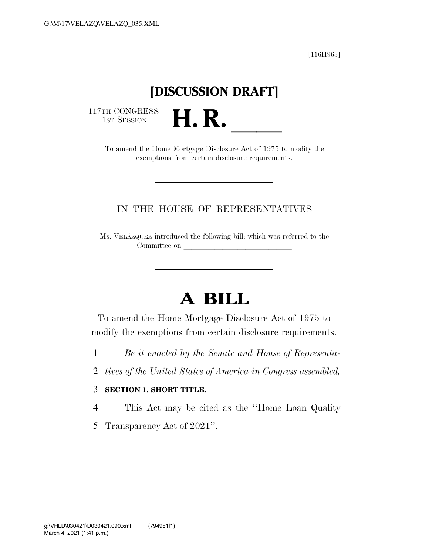[116H963]

### **[DISCUSSION DRAFT]**

117TH CONGRESS<br>1st Session

TH CONGRESS<br>1st SESSION **H. R. I. B.** To amend the Home Mortgage Disclosure Act of 1975 to modify the exemptions from certain disclosure requirements.

### IN THE HOUSE OF REPRESENTATIVES

Ms. VELA´ZQUEZ introduced the following bill; which was referred to the Committee on

## **A BILL**

To amend the Home Mortgage Disclosure Act of 1975 to modify the exemptions from certain disclosure requirements.

- 1 *Be it enacted by the Senate and House of Representa-*
- 2 *tives of the United States of America in Congress assembled,*

#### 3 **SECTION 1. SHORT TITLE.**

4 This Act may be cited as the ''Home Loan Quality

5 Transparency Act of 2021''.